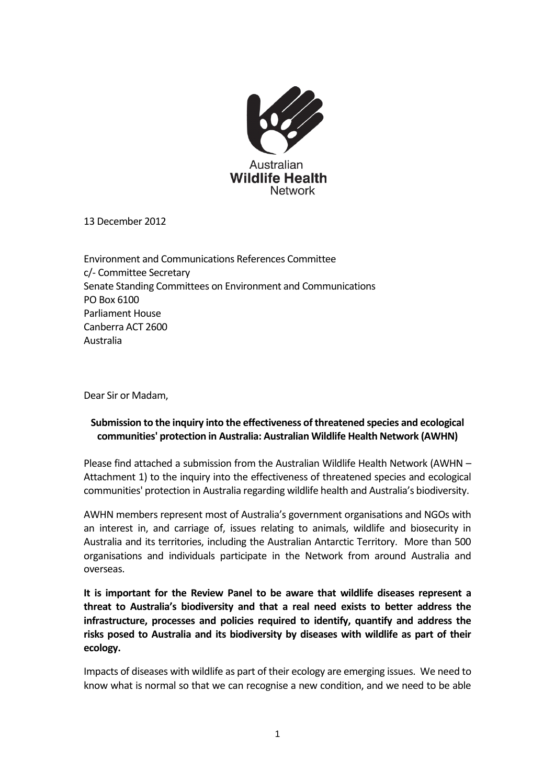

13 December 2012

Environment and Communications References Committee c/- Committee Secretary Senate Standing Committees on Environment and Communications PO Box 6100 Parliament House Canberra ACT 2600 Australia

Dear Sir or Madam,

## **Submission to the inquiry into the effectiveness of threatened species and ecological communities' protection in Australia: Australian Wildlife Health Network (AWHN)**

Please find attached a submission from the Australian Wildlife Health Network (AWHN – Attachment 1) to the inquiry into the effectiveness of threatened species and ecological communities' protection in Australia regarding wildlife health and Australia's biodiversity.

AWHN members represent most of Australia's government organisations and NGOs with an interest in, and carriage of, issues relating to animals, wildlife and biosecurity in Australia and its territories, including the Australian Antarctic Territory. More than 500 organisations and individuals participate in the Network from around Australia and overseas.

**It is important for the Review Panel to be aware that wildlife diseases represent a threat to Australia's biodiversity and that a real need exists to better address the infrastructure, processes and policies required to identify, quantify and address the risks posed to Australia and its biodiversity by diseases with wildlife as part of their ecology.**

Impacts of diseases with wildlife as part of their ecology are emerging issues. We need to know what is normal so that we can recognise a new condition, and we need to be able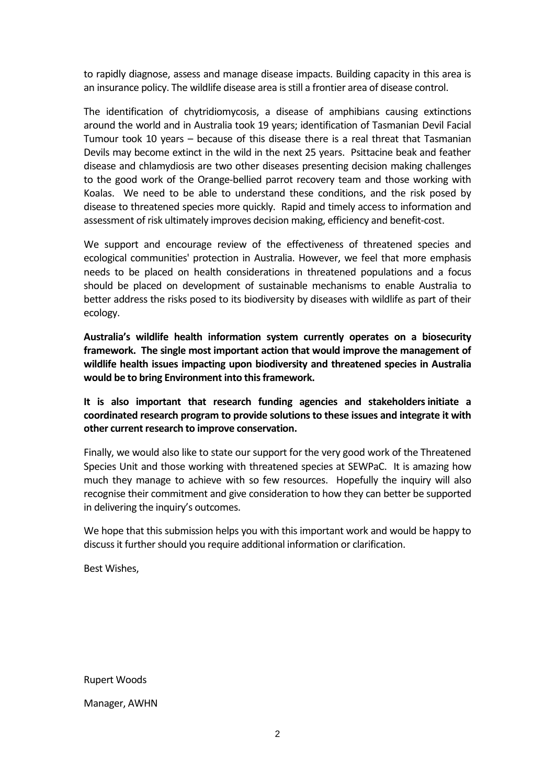to rapidly diagnose, assess and manage disease impacts. Building capacity in this area is an insurance policy. The wildlife disease area is still a frontier area of disease control.

The identification of chytridiomycosis, a disease of amphibians causing extinctions around the world and in Australia took 19 years; identification of Tasmanian Devil Facial Tumour took 10 years – because of this disease there is a real threat that Tasmanian Devils may become extinct in the wild in the next 25 years. Psittacine beak and feather disease and chlamydiosis are two other diseases presenting decision making challenges to the good work of the Orange-bellied parrot recovery team and those working with Koalas. We need to be able to understand these conditions, and the risk posed by disease to threatened species more quickly. Rapid and timely access to information and assessment of risk ultimately improves decision making, efficiency and benefit-cost.

We support and encourage review of the effectiveness of threatened species and ecological communities' protection in Australia. However, we feel that more emphasis needs to be placed on health considerations in threatened populations and a focus should be placed on development of sustainable mechanisms to enable Australia to better address the risks posed to its biodiversity by diseases with wildlife as part of their ecology.

**Australia's wildlife health information system currently operates on a biosecurity framework. The single most important action that would improve the management of wildlife health issues impacting upon biodiversity and threatened species in Australia would be to bring Environment into this framework.** 

**It is also important that research funding agencies and stakeholders initiate a coordinated research program to provide solutions to these issues and integrate it with other current research to improve conservation.** 

Finally, we would also like to state our support for the very good work of the Threatened Species Unit and those working with threatened species at SEWPaC. It is amazing how much they manage to achieve with so few resources. Hopefully the inquiry will also recognise their commitment and give consideration to how they can better be supported in delivering the inquiry's outcomes.

We hope that this submission helps you with this important work and would be happy to discuss it further should you require additional information or clarification.

Best Wishes,

Rupert Woods

Manager, AWHN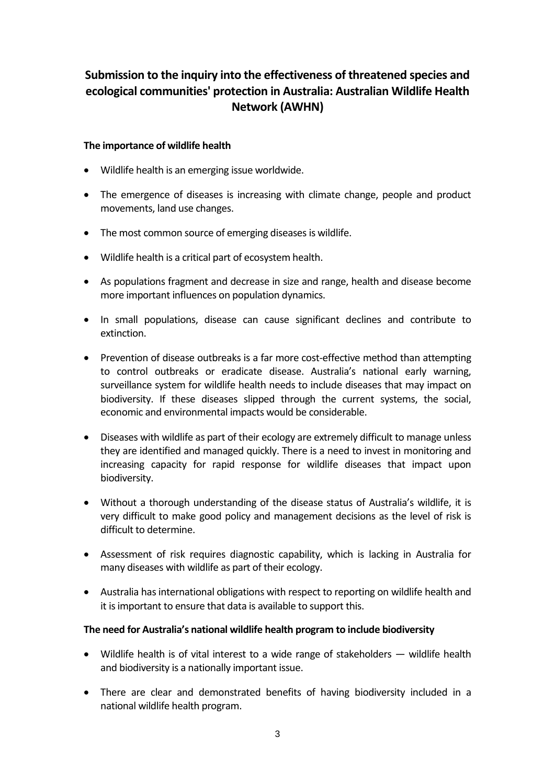# **Submission to the inquiry into the effectiveness of threatened species and ecological communities' protection in Australia: Australian Wildlife Health Network (AWHN)**

## **The importance of wildlife health**

- Wildlife health is an emerging issue worldwide.
- The emergence of diseases is increasing with climate change, people and product movements, land use changes.
- The most common source of emerging diseases is wildlife.
- Wildlife health is a critical part of ecosystem health.
- As populations fragment and decrease in size and range, health and disease become more important influences on population dynamics.
- In small populations, disease can cause significant declines and contribute to extinction.
- Prevention of disease outbreaks is a far more cost-effective method than attempting to control outbreaks or eradicate disease. Australia's national early warning, surveillance system for wildlife health needs to include diseases that may impact on biodiversity. If these diseases slipped through the current systems, the social, economic and environmental impacts would be considerable.
- Diseases with wildlife as part of their ecology are extremely difficult to manage unless they are identified and managed quickly. There is a need to invest in monitoring and increasing capacity for rapid response for wildlife diseases that impact upon biodiversity.
- Without a thorough understanding of the disease status of Australia's wildlife, it is very difficult to make good policy and management decisions as the level of risk is difficult to determine.
- Assessment of risk requires diagnostic capability, which is lacking in Australia for many diseases with wildlife as part of their ecology.
- Australia has international obligations with respect to reporting on wildlife health and it is important to ensure that data is available to support this.

### **The need for Australia's national wildlife health program to include biodiversity**

- Wildlife health is of vital interest to a wide range of stakeholders wildlife health and biodiversity is a nationally important issue.
- There are clear and demonstrated benefits of having biodiversity included in a national wildlife health program.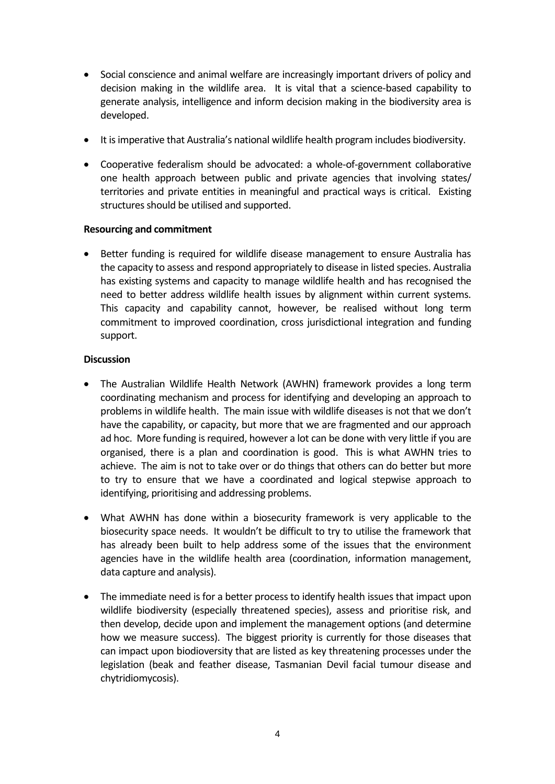- Social conscience and animal welfare are increasingly important drivers of policy and decision making in the wildlife area. It is vital that a science-based capability to generate analysis, intelligence and inform decision making in the biodiversity area is developed.
- It is imperative that Australia's national wildlife health program includes biodiversity.
- Cooperative federalism should be advocated: a whole-of-government collaborative one health approach between public and private agencies that involving states/ territories and private entities in meaningful and practical ways is critical. Existing structures should be utilised and supported.

### **Resourcing and commitment**

 Better funding is required for wildlife disease management to ensure Australia has the capacity to assess and respond appropriately to disease in listed species. Australia has existing systems and capacity to manage wildlife health and has recognised the need to better address wildlife health issues by alignment within current systems. This capacity and capability cannot, however, be realised without long term commitment to improved coordination, cross jurisdictional integration and funding support.

#### **Discussion**

- The Australian Wildlife Health Network (AWHN) framework provides a long term coordinating mechanism and process for identifying and developing an approach to problems in wildlife health. The main issue with wildlife diseases is not that we don't have the capability, or capacity, but more that we are fragmented and our approach ad hoc. More funding is required, however a lot can be done with very little if you are organised, there is a plan and coordination is good. This is what AWHN tries to achieve. The aim is not to take over or do things that others can do better but more to try to ensure that we have a coordinated and logical stepwise approach to identifying, prioritising and addressing problems.
- What AWHN has done within a biosecurity framework is very applicable to the biosecurity space needs. It wouldn't be difficult to try to utilise the framework that has already been built to help address some of the issues that the environment agencies have in the wildlife health area (coordination, information management, data capture and analysis).
- The immediate need is for a better process to identify health issues that impact upon wildlife biodiversity (especially threatened species), assess and prioritise risk, and then develop, decide upon and implement the management options (and determine how we measure success). The biggest priority is currently for those diseases that can impact upon biodioversity that are listed as key threatening processes under the legislation (beak and feather disease, Tasmanian Devil facial tumour disease and chytridiomycosis).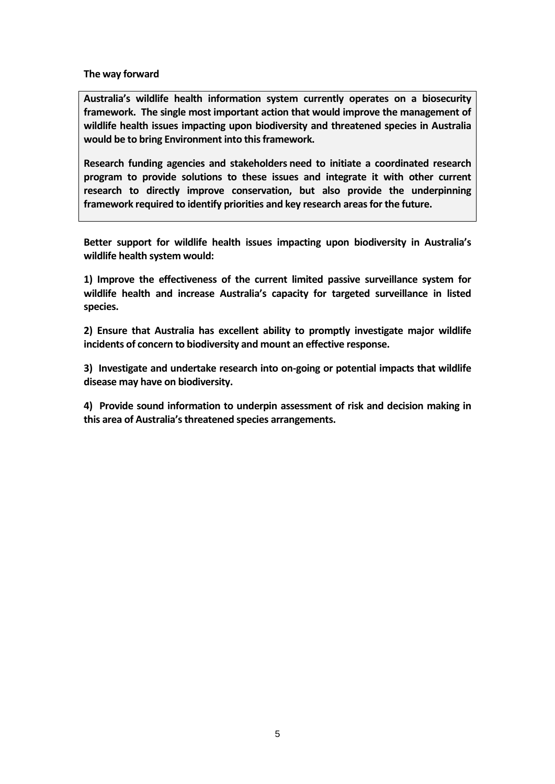**The way forward**

**Australia's wildlife health information system currently operates on a biosecurity framework. The single most important action that would improve the management of wildlife health issues impacting upon biodiversity and threatened species in Australia would be to bring Environment into this framework.**

**Research funding agencies and stakeholders need to initiate a coordinated research program to provide solutions to these issues and integrate it with other current research to directly improve conservation, but also provide the underpinning framework required to identify priorities and key research areas for the future.** 

**Better support for wildlife health issues impacting upon biodiversity in Australia's wildlife health system would:** 

**1) Improve the effectiveness of the current limited passive surveillance system for wildlife health and increase Australia's capacity for targeted surveillance in listed species.**

**2) Ensure that Australia has excellent ability to promptly investigate major wildlife incidents of concern to biodiversity and mount an effective response.**

**3) Investigate and undertake research into on-going or potential impacts that wildlife disease may have on biodiversity.**

**4) Provide sound information to underpin assessment of risk and decision making in this area of Australia's threatened species arrangements.**